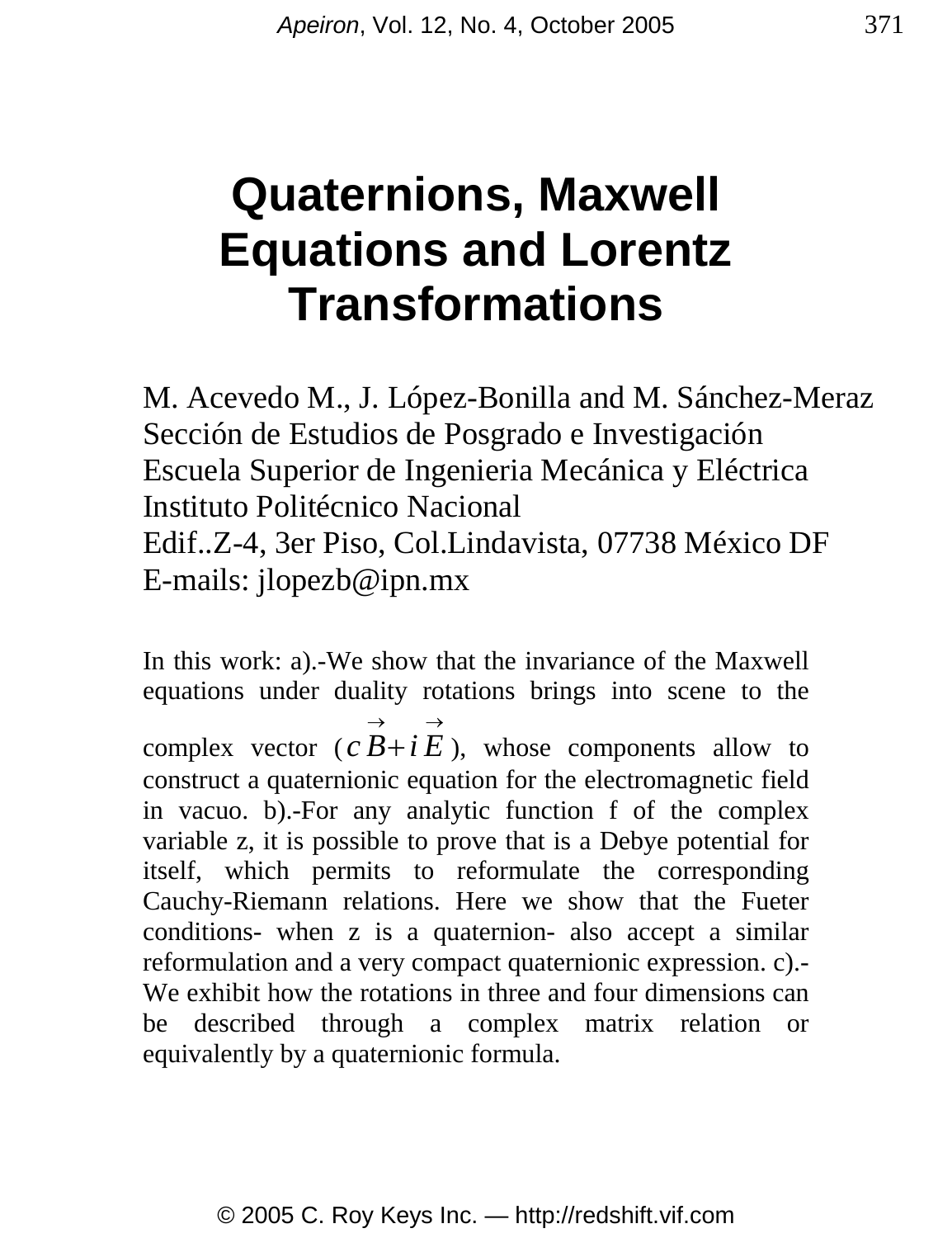# **Quaternions, Maxwell Equations and Lorentz Transformations**

M. Acevedo M., J. López-Bonilla and M. Sánchez-Meraz Sección de Estudios de Posgrado e Investigación Escuela Superior de Ingenieria Mecánica y Eléctrica Instituto Politécnico Nacional Edif..Z-4, 3er Piso, Col.Lindavista, 07738 México DF E-mails: jlopezb@ipn.mx

In this work: a).-We show that the invariance of the Maxwell equations under duality rotations brings into scene to the complex vector  $(c\overrightarrow{B} + i\overrightarrow{E})$ , whose components allow to construct a quaternionic equation for the electromagnetic field in vacuo. b).-For any analytic function f of the complex variable z, it is possible to prove that is a Debye potential for itself, which permits to reformulate the corresponding Cauchy-Riemann relations. Here we show that the Fueter conditions- when z is a quaternion- also accept a similar reformulation and a very compact quaternionic expression. c).- We exhibit how the rotations in three and four dimensions can be described through a complex matrix relation or equivalently by a quaternionic formula.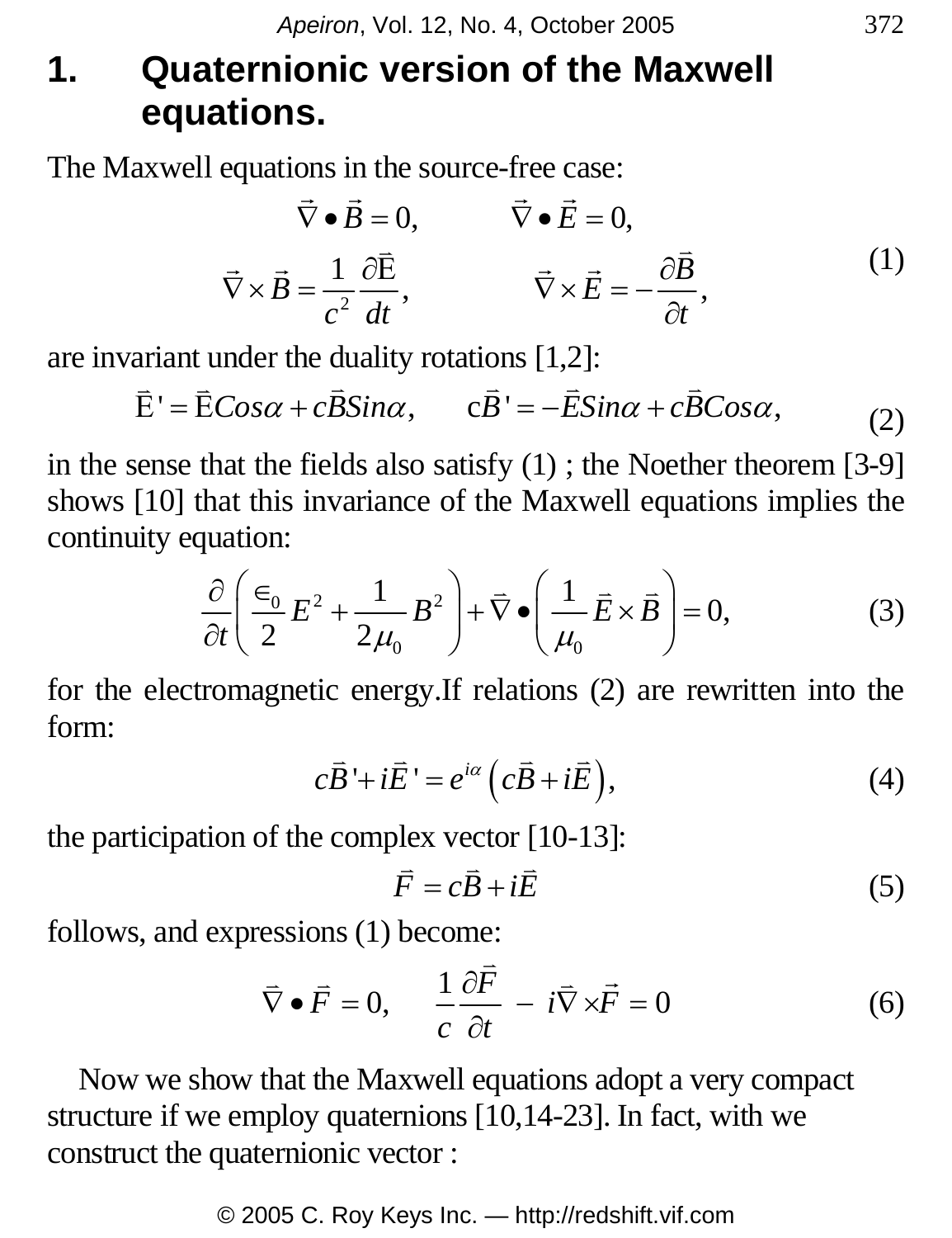## **1. Quaternionic version of the Maxwell equations.**

The Maxwell equations in the source-free case:  $\rightarrow$   $\rightarrow$   $\rightarrow$   $\rightarrow$ 

$$
\vec{\nabla} \cdot \vec{B} = 0, \qquad \vec{\nabla} \cdot \vec{E} = 0,
$$
  

$$
\vec{\nabla} \times \vec{B} = \frac{1}{c^2} \frac{\partial \vec{E}}{dt}, \qquad \vec{\nabla} \times \vec{E} = -\frac{\partial \vec{B}}{\partial t}, \qquad (1)
$$

are invariant under the duality rotations [1,2]:

$$
\vec{E}' = \vec{E} \cos \alpha + c \vec{B} \sin \alpha, \qquad c\vec{B}' = -\vec{E} \sin \alpha + c\vec{B} \cos \alpha, \tag{2}
$$

in the sense that the fields also satisfy (1) ; the Noether theorem [3-9] shows [10] that this invariance of the Maxwell equations implies the continuity equation:

$$
\frac{\partial}{\partial t} \left( \frac{\epsilon_0}{2} E^2 + \frac{1}{2\mu_0} B^2 \right) + \overline{\nabla} \bullet \left( \frac{1}{\mu_0} \overline{E} \times \overline{B} \right) = 0, \tag{3}
$$

for the electromagnetic energy.If relations (2) are rewritten into the form:

$$
c\vec{B} + i\vec{E} = e^{i\alpha} \left( c\vec{B} + i\vec{E} \right),\tag{4}
$$

the participation of the complex vector [10-13]:

$$
\vec{F} = c\vec{B} + i\vec{E} \tag{5}
$$

follows, and expressions (1) become:

$$
\vec{\nabla} \cdot \vec{F} = 0, \quad \frac{1}{c} \frac{\partial \vec{F}}{\partial t} - i \vec{\nabla} \times \vec{F} = 0 \tag{6}
$$

 Now we show that the Maxwell equations adopt a very compact structure if we employ quaternions [10,14-23]. In fact, with we construct the quaternionic vector :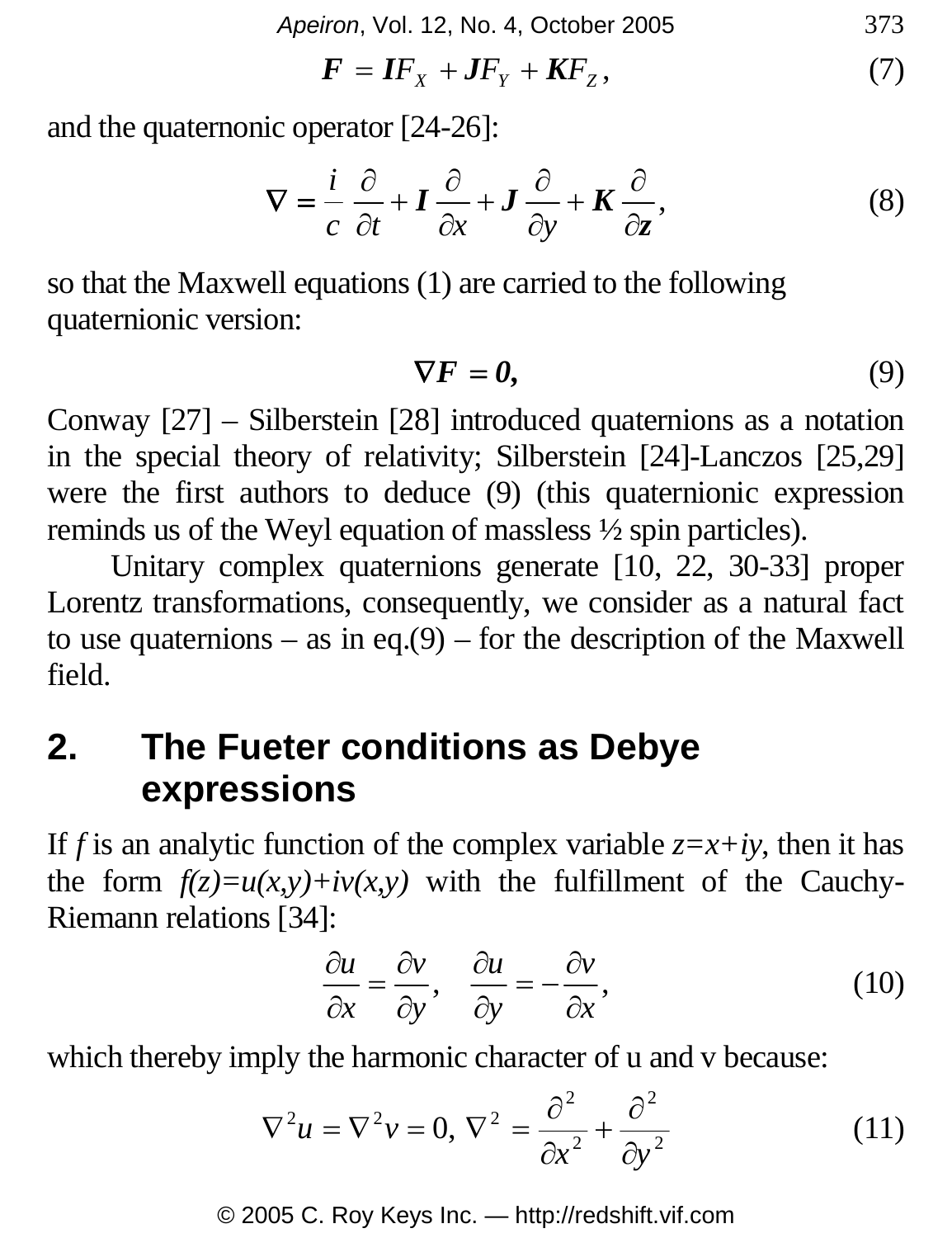*Apeiron*, Vol. 12, No. 4, October 2005 373

$$
\boldsymbol{F} = \boldsymbol{I} \boldsymbol{F}_X + \boldsymbol{J} \boldsymbol{F}_Y + \boldsymbol{K} \boldsymbol{F}_Z, \tag{7}
$$

and the quaternonic operator [24-26]:

$$
\nabla = \frac{i}{c} \frac{\partial}{\partial t} + I \frac{\partial}{\partial x} + J \frac{\partial}{\partial y} + K \frac{\partial}{\partial z},
$$
 (8)

so that the Maxwell equations (1) are carried to the following quaternionic version:

$$
\nabla F = 0,\tag{9}
$$

Conway [27] – Silberstein [28] introduced quaternions as a notation in the special theory of relativity; Silberstein [24]-Lanczos [25,29] were the first authors to deduce (9) (this quaternionic expression reminds us of the Weyl equation of massless ½ spin particles).

 Unitary complex quaternions generate [10, 22, 30-33] proper Lorentz transformations, consequently, we consider as a natural fact to use quaternions – as in eq.(9) – for the description of the Maxwell field.

### **2. The Fueter conditions as Debye expressions**

If *f* is an analytic function of the complex variable  $z=x+iy$ , then it has the form  $f(z)=u(x,y)+iv(x,y)$  with the fulfillment of the Cauchy-Riemann relations [34]:

$$
\frac{\partial u}{\partial x} = \frac{\partial v}{\partial y}, \quad \frac{\partial u}{\partial y} = -\frac{\partial v}{\partial x},\tag{10}
$$

which thereby imply the harmonic character of u and v because:

$$
\nabla^2 u = \nabla^2 v = 0, \nabla^2 = \frac{\partial^2}{\partial x^2} + \frac{\partial^2}{\partial y^2}
$$
(11)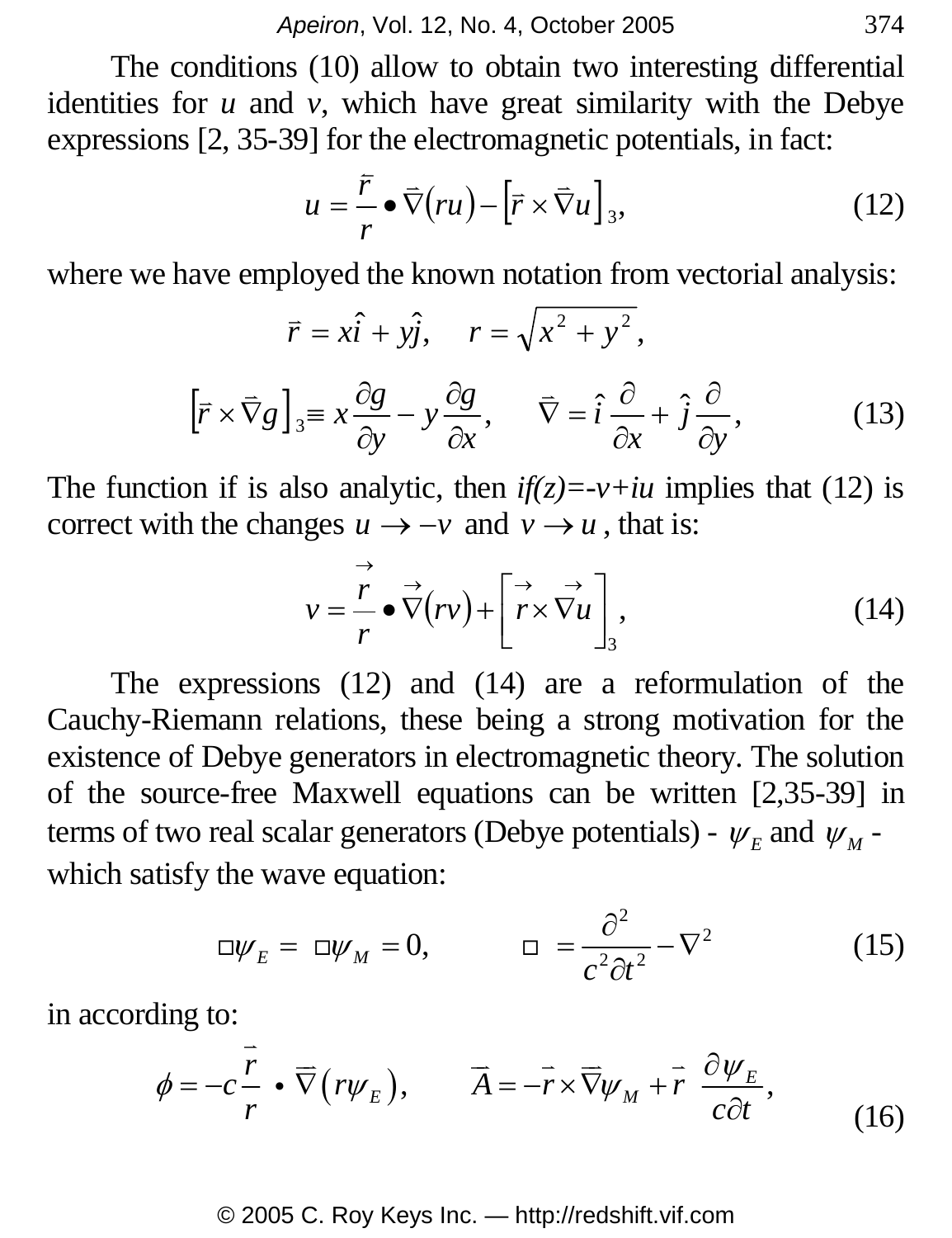The conditions (10) allow to obtain two interesting differential identities for *u* and *v*, which have great similarity with the Debye expressions [2, 35-39] for the electromagnetic potentials, in fact:

$$
u = \frac{\bar{r}}{r} \bullet \bar{\nabla}(ru) - [\bar{r} \times \bar{\nabla}u]_3,
$$
 (12)

where we have employed the known notation from vectorial analysis:

$$
\vec{r} = x\hat{i} + y\hat{j}, \quad r = \sqrt{x^2 + y^2},
$$

$$
[\vec{r} \times \vec{\nabla} g]_3 \equiv x \frac{\partial g}{\partial y} - y \frac{\partial g}{\partial x}, \quad \vec{\nabla} = \hat{i} \frac{\partial}{\partial x} + \hat{j} \frac{\partial}{\partial y}, \quad (13)
$$

The function if is also analytic, then  $if(z) = v + iu$  implies that (12) is correct with the changes  $u \rightarrow -v$  and  $v \rightarrow u$ , that is:

$$
v = \frac{\vec{r}}{r} \bullet \vec{\nabla}(rv) + \begin{bmatrix} \vec{r} & \vec{r} \\ \vec{r} \times \vec{\nabla} u \end{bmatrix},
$$
(14)

 The expressions (12) and (14) are a reformulation of the Cauchy-Riemann relations, these being a strong motivation for the existence of Debye generators in electromagnetic theory. The solution of the source-free Maxwell equations can be written [2,35-39] in terms of two real scalar generators (Debye potentials) -  $\psi_E$  and  $\psi_M$  which satisfy the wave equation:

$$
\Box \psi_E = \Box \psi_M = 0, \qquad \Box = \frac{\partial^2}{c^2 \partial t^2} - \nabla^2 \tag{15}
$$

in according to:

$$
\phi = -c \frac{\vec{r}}{r} \cdot \overrightarrow{\nabla} \left( r \psi_E \right), \qquad \overrightarrow{A} = -\overrightarrow{r} \times \overrightarrow{\nabla} \psi_M + \overrightarrow{r} \frac{\partial \psi_E}{c \partial t}, \tag{16}
$$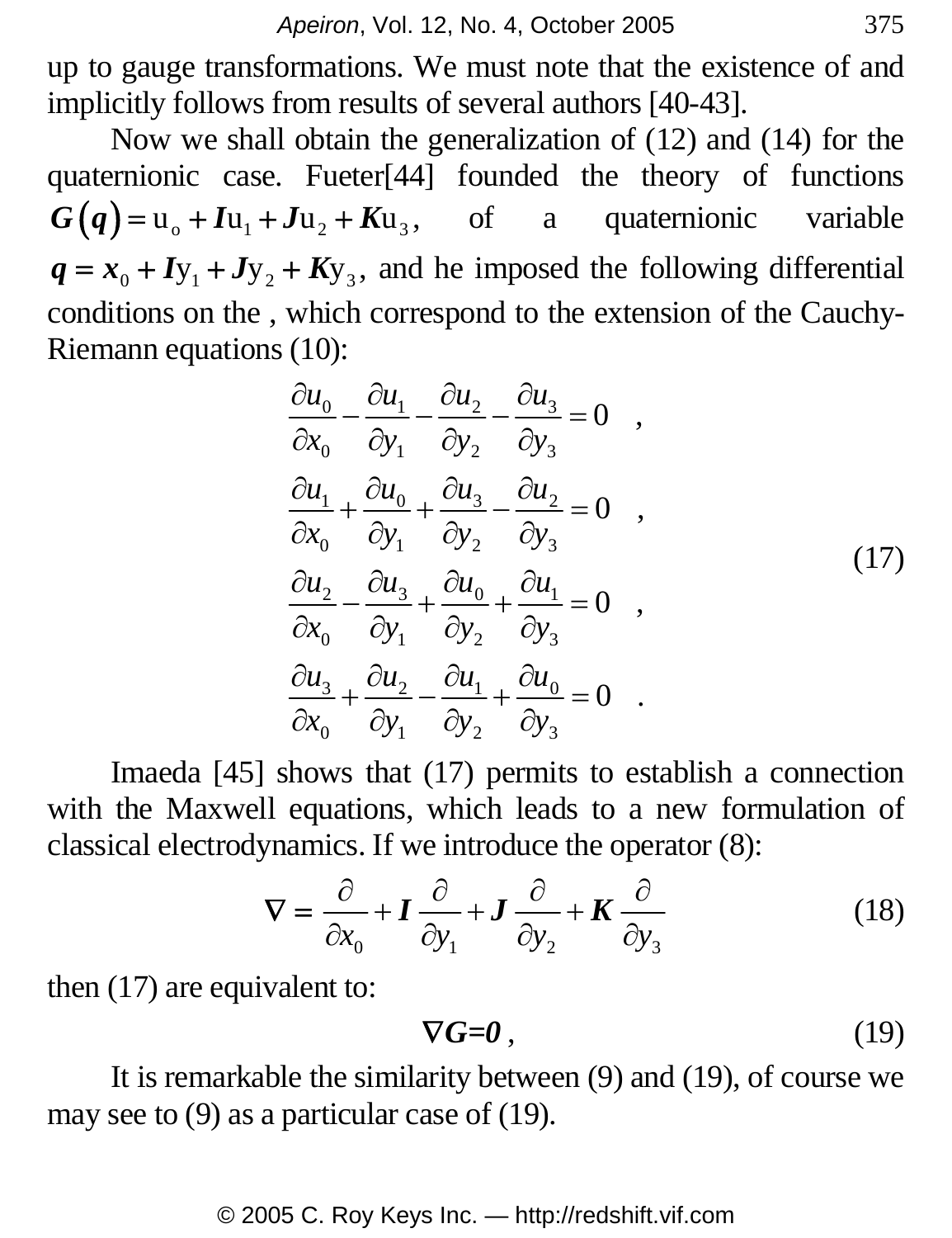up to gauge transformations. We must note that the existence of and implicitly follows from results of several authors [40-43].

 Now we shall obtain the generalization of (12) and (14) for the quaternionic case. Fueter[44] founded the theory of functions  $G(q) = u_0 + I u_1 + J u_2 + K u_3$ , of a quaternionic variable  $q = x_0 + I y_1 + J y_2 + K y_3$ , and he imposed the following differential conditions on the , which correspond to the extension of the Cauchy-Riemann equations (10):

$$
\frac{\partial u_0}{\partial x_0} - \frac{\partial u_1}{\partial y_1} - \frac{\partial u_2}{\partial y_2} - \frac{\partial u_3}{\partial y_3} = 0 ,
$$
  
\n
$$
\frac{\partial u_1}{\partial x_0} + \frac{\partial u_0}{\partial y_1} + \frac{\partial u_3}{\partial y_2} - \frac{\partial u_2}{\partial y_3} = 0 ,
$$
  
\n
$$
\frac{\partial u_2}{\partial x_0} - \frac{\partial u_3}{\partial y_1} + \frac{\partial u_0}{\partial y_2} + \frac{\partial u_1}{\partial y_3} = 0 ,
$$
  
\n
$$
\frac{\partial u_3}{\partial x_0} + \frac{\partial u_2}{\partial y_1} - \frac{\partial u_1}{\partial y_2} + \frac{\partial u_0}{\partial y_3} = 0 .
$$
\n(17)

 Imaeda [45] shows that (17) permits to establish a connection with the Maxwell equations, which leads to a new formulation of classical electrodynamics. If we introduce the operator (8):

$$
\nabla = \frac{\partial}{\partial x_0} + \mathbf{I} \frac{\partial}{\partial y_1} + \mathbf{J} \frac{\partial}{\partial y_2} + \mathbf{K} \frac{\partial}{\partial y_3}
$$
(18)

then (17) are equivalent to:

$$
\nabla G = 0 \tag{19}
$$

 It is remarkable the similarity between (9) and (19), of course we may see to (9) as a particular case of (19).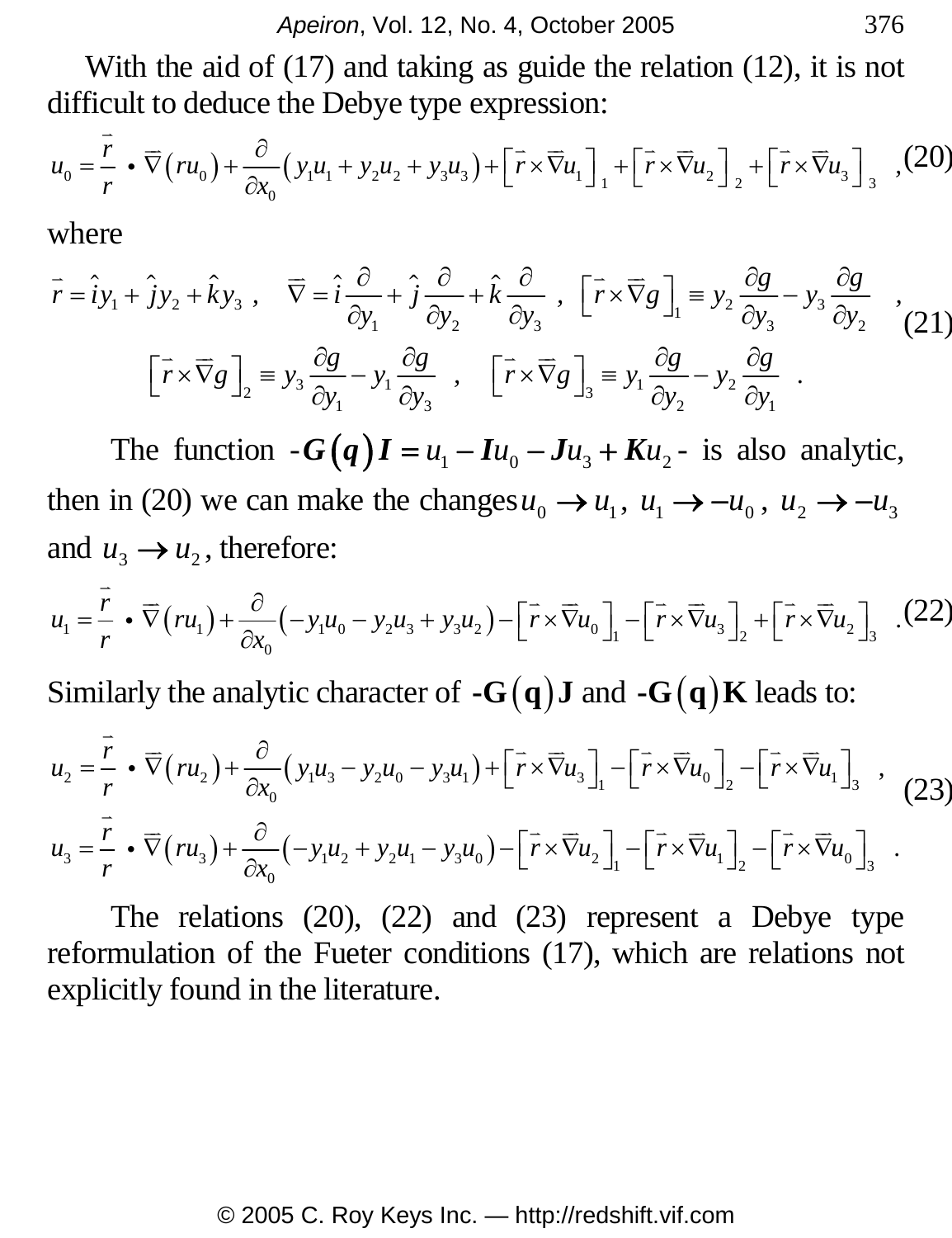With the aid of (17) and taking as guide the relation (12), it is not difficult to deduce the Debye type expression:

$$
u_0 = \frac{\overline{r}}{r} \cdot \overline{\nabla}(ru_0) + \frac{\partial}{\partial x_0} (y_1u_1 + y_2u_2 + y_3u_3) + \left[ \overline{r} \times \overline{\nabla}u_1 \right]_1 + \left[ \overline{r} \times \overline{\nabla}u_2 \right]_2 + \left[ \overline{r} \times \overline{\nabla}u_3 \right]_3
$$
 (20)

where

$$
\vec{r} = \hat{i}y_1 + \hat{j}y_2 + \hat{k}y_3, \quad \nabla = \hat{i}\frac{\partial}{\partial y_1} + \hat{j}\frac{\partial}{\partial y_2} + \hat{k}\frac{\partial}{\partial y_3}, \quad \left[\vec{r} \times \nabla g\right]_1 \equiv y_2 \frac{\partial g}{\partial y_3} - y_3 \frac{\partial g}{\partial y_2},
$$
\n
$$
\left[\vec{r} \times \nabla g\right]_2 \equiv y_3 \frac{\partial g}{\partial y_1} - y_1 \frac{\partial g}{\partial y_3}, \quad \left[\vec{r} \times \nabla g\right]_3 \equiv y_1 \frac{\partial g}{\partial y_2} - y_2 \frac{\partial g}{\partial y_1}.
$$
\n(21)

The function  $-G(q) I = u_1 - I u_0 - J u_3 + K u_2$  is also analytic, then in (20) we can make the changes  $u_0 \rightarrow u_1$ ,  $u_1 \rightarrow -u_0$ ,  $u_2 \rightarrow -u_3$ and  $u_3 \rightarrow u_2$ , therefore:

$$
u_1 = \frac{\overline{r}}{r} \cdot \overline{\nabla}(ru_1) + \frac{\partial}{\partial x_0}(-y_1u_0 - y_2u_3 + y_3u_2) - \left[\overline{r} \times \overline{\nabla}u_0\right]_1 - \left[\overline{r} \times \overline{\nabla}u_3\right]_2 + \left[\overline{r} \times \overline{\nabla}u_2\right]_3 \tag{22}
$$

Similarly the analytic character of  $-G(q)J$  and  $-G(q)K$  leads to:

$$
u_2 = \frac{\overline{r}}{r} \cdot \overline{\nabla}(ru_2) + \frac{\partial}{\partial x_0} (y_1 u_3 - y_2 u_0 - y_3 u_1) + [\overline{r} \times \overline{\nabla} u_3]_1 - [\overline{r} \times \overline{\nabla} u_0]_2 - [\overline{r} \times \overline{\nabla} u_1]_3,
$$
(23)  

$$
u_3 = \frac{\overline{r}}{r} \cdot \overline{\nabla}(ru_3) + \frac{\partial}{\partial x_0} (-y_1 u_2 + y_2 u_1 - y_3 u_0) - [\overline{r} \times \overline{\nabla} u_2]_1 - [\overline{r} \times \overline{\nabla} u_1]_2 - [\overline{r} \times \overline{\nabla} u_0]_3.
$$

 The relations (20), (22) and (23) represent a Debye type reformulation of the Fueter conditions (17), which are relations not explicitly found in the literature.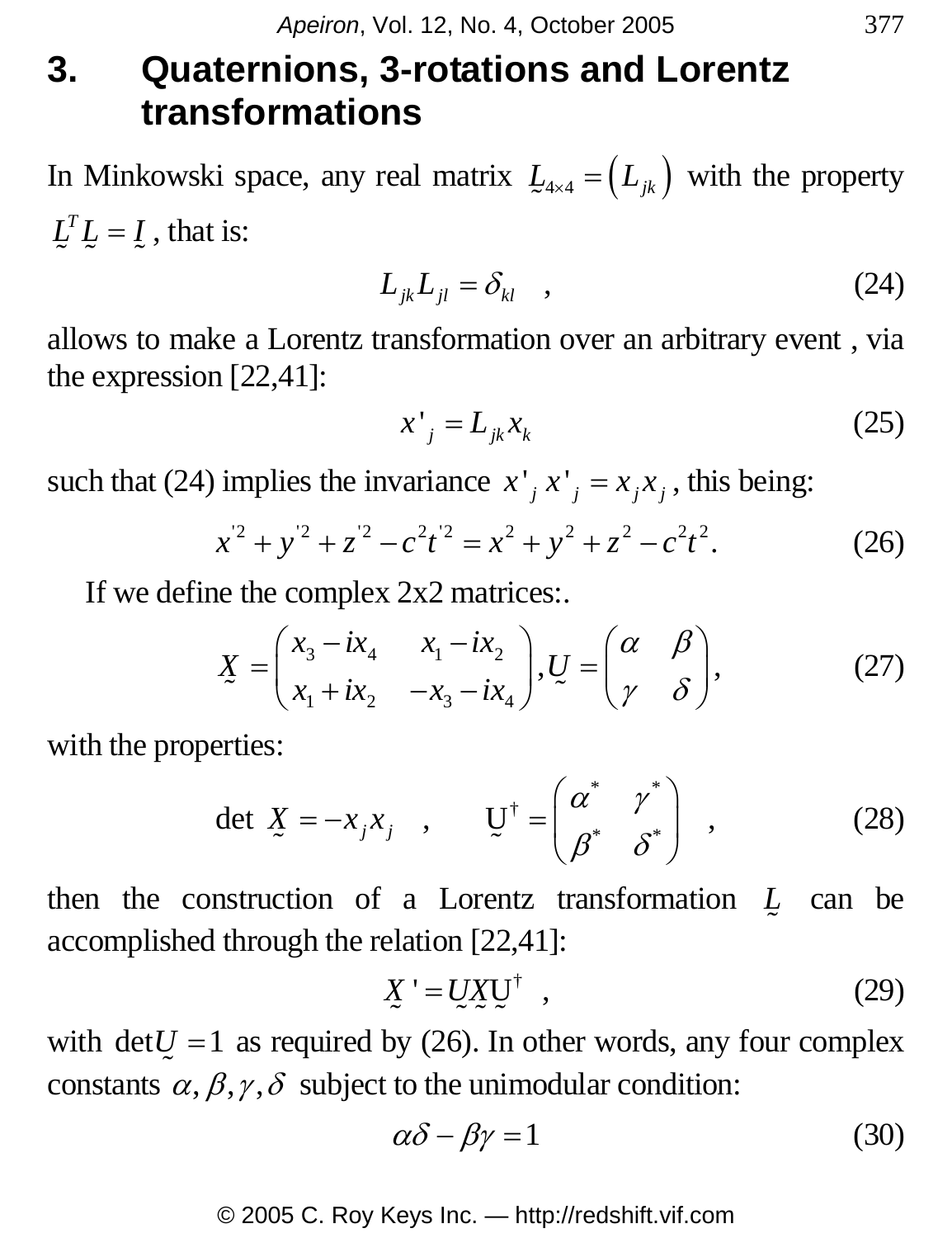### **3. Quaternions, 3-rotations and Lorentz transformations**

In Minkowski space, any real matrix  $L_{4\times 4} = (L_{jk})$  with the property  $L^T L = L$ , that is:

$$
L_{jk}L_{jl} = \delta_{kl} \quad , \tag{24}
$$

allows to make a Lorentz transformation over an arbitrary event , via the expression [22,41]:

$$
x^{\prime}_{j} = L_{jk} x_{k} \tag{25}
$$

such that (24) implies the invariance  $x'$   $_i x'$   $_j = x_i x_j$ , this being:

$$
x^{2} + y^{2} + z^{2} - c^{2}t^{2} = x^{2} + y^{2} + z^{2} - c^{2}t^{2}.
$$
 (26)

If we define the complex 2x2 matrices:.

$$
\underline{X} = \begin{pmatrix} x_3 - ix_4 & x_1 - ix_2 \\ x_1 + ix_2 & -x_3 - ix_4 \end{pmatrix}, \underline{U} = \begin{pmatrix} \alpha & \beta \\ \gamma & \delta \end{pmatrix},
$$
(27)

with the properties:

$$
\det \mathbf{X} = -x_j x_j \quad , \qquad \mathbf{U}^\dagger = \begin{pmatrix} \alpha^* & \gamma^* \\ \beta^* & \delta^* \end{pmatrix} \quad , \tag{28}
$$

then the construction of a Lorentz transformation *L*  $\overline{z}$  can be accomplished through the relation [22,41]:

$$
\underline{X} = \underline{U} \underline{X} \underline{U}^{\dagger} \quad , \tag{29}
$$

with  $det U = 1$  as required by (26). In other words, any four complex constants  $\alpha$ ,  $\beta$ ,  $\gamma$ ,  $\delta$  subject to the unimodular condition:

$$
\alpha \delta - \beta \gamma = 1 \tag{30}
$$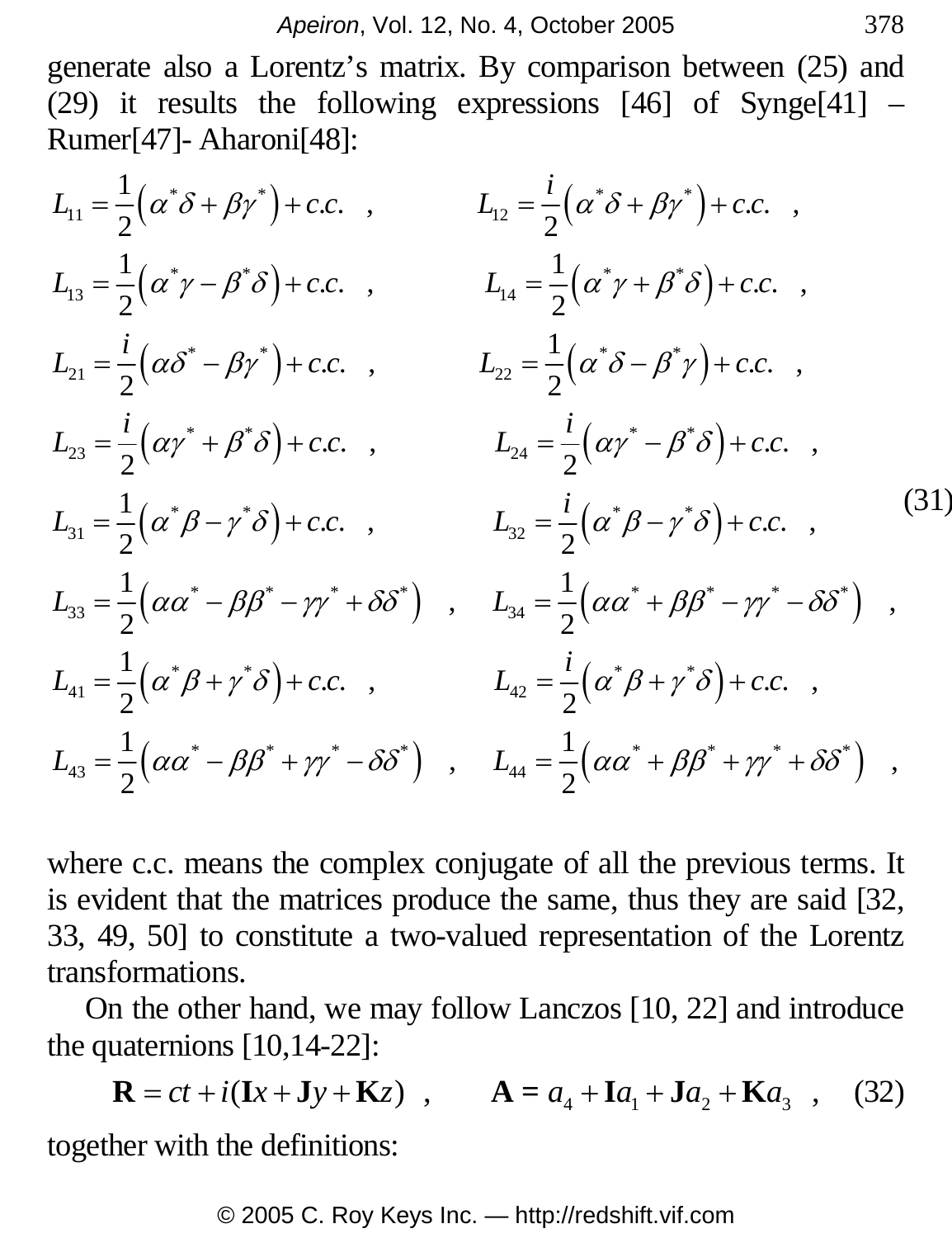generate also a Lorentz's matrix. By comparison between (25) and (29) it results the following expressions  $[46]$  of Synge $[41]$  – Rumer[47]- Aharoni[48]:

$$
L_{11} = \frac{1}{2} (\alpha^{*} \delta + \beta \gamma^{*}) + c.c. , \qquad L_{12} = \frac{i}{2} (\alpha^{*} \delta + \beta \gamma^{*}) + c.c. ,
$$
  
\n
$$
L_{13} = \frac{1}{2} (\alpha^{*} \gamma - \beta^{*} \delta) + c.c. , \qquad L_{14} = \frac{1}{2} (\alpha^{*} \gamma + \beta^{*} \delta) + c.c. ,
$$
  
\n
$$
L_{21} = \frac{i}{2} (\alpha \delta^{*} - \beta \gamma^{*}) + c.c. , \qquad L_{22} = \frac{1}{2} (\alpha^{*} \delta - \beta^{*} \gamma) + c.c. ,
$$
  
\n
$$
L_{23} = \frac{i}{2} (\alpha \gamma^{*} + \beta^{*} \delta) + c.c. , \qquad L_{24} = \frac{i}{2} (\alpha \gamma^{*} - \beta^{*} \delta) + c.c. ,
$$
  
\n
$$
L_{31} = \frac{1}{2} (\alpha^{*} \beta - \gamma^{*} \delta) + c.c. , \qquad L_{32} = \frac{i}{2} (\alpha^{*} \beta - \gamma^{*} \delta) + c.c. ,
$$
  
\n
$$
L_{33} = \frac{1}{2} (\alpha \alpha^{*} - \beta \beta^{*} - \gamma \gamma^{*} + \delta \delta^{*}) , \qquad L_{34} = \frac{1}{2} (\alpha \alpha^{*} + \beta \beta^{*} - \gamma \gamma^{*} - \delta \delta^{*}) ,
$$
  
\n
$$
L_{41} = \frac{1}{2} (\alpha^{*} \beta + \gamma^{*} \delta) + c.c. , \qquad L_{42} = \frac{i}{2} (\alpha^{*} \beta + \gamma^{*} \delta) + c.c. ,
$$
  
\n
$$
L_{43} = \frac{1}{2} (\alpha \alpha^{*} - \beta \beta^{*} + \gamma \gamma^{*} - \delta \delta^{*}) , \qquad L_{44} = \frac{1}{2} (\alpha \alpha^{*} + \beta \beta^{*} + \gamma \gamma^{*} + \delta \delta^{*}) ,
$$

where c.c. means the complex conjugate of all the previous terms. It is evident that the matrices produce the same, thus they are said [32, 33, 49, 50] to constitute a two-valued representation of the Lorentz transformations.

On the other hand, we may follow Lanczos [10, 22] and introduce the quaternions [10,14-22]:

$$
\mathbf{R} = ct + i(\mathbf{I}x + \mathbf{J}y + \mathbf{K}z) , \qquad \mathbf{A} = a_4 + \mathbf{I}a_1 + \mathbf{J}a_2 + \mathbf{K}a_3 , \quad (32)
$$

together with the definitions: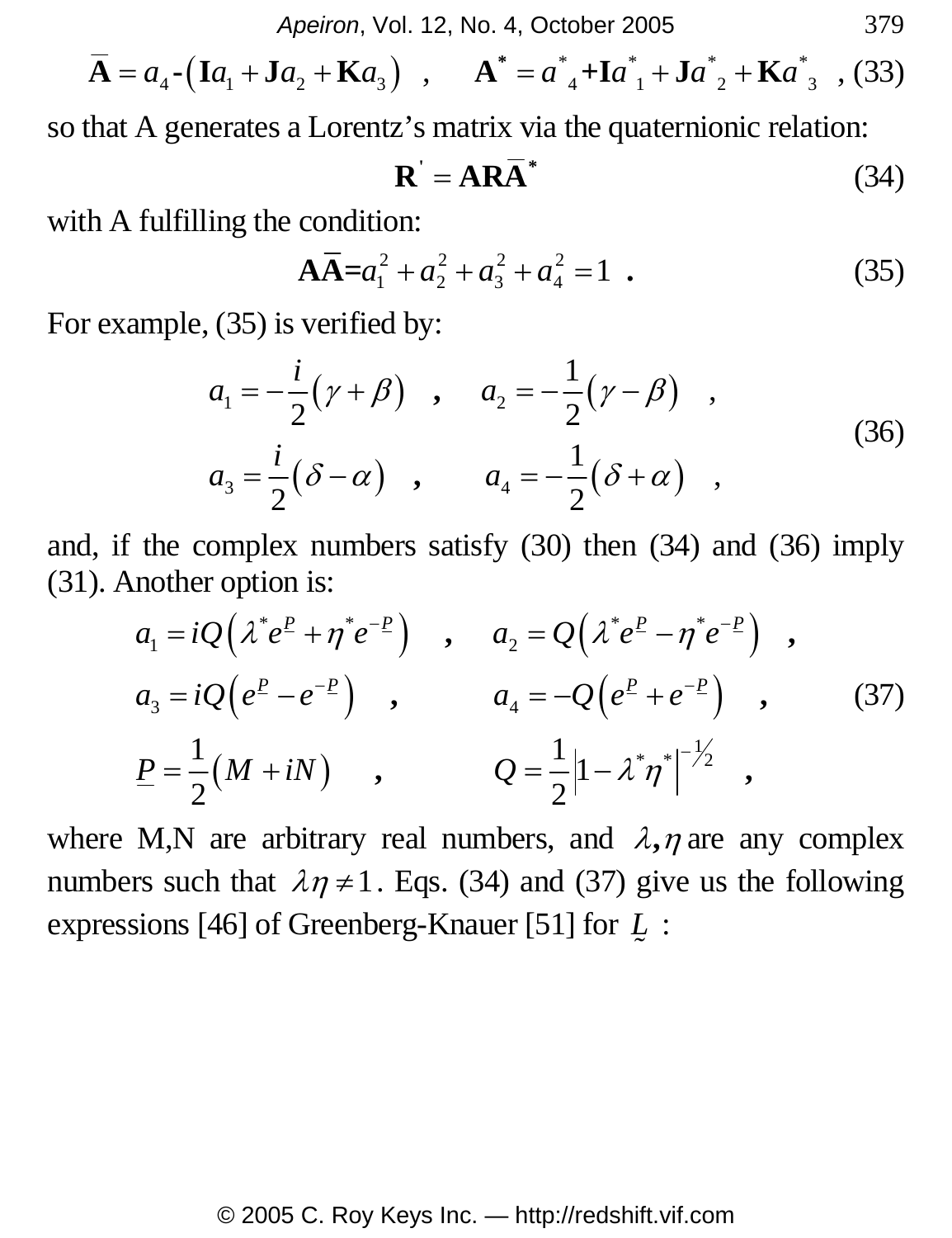*Apeiron*, Vol. 12, No. 4, October 2005 379

$$
\overline{A} = a_4 \cdot (Ia_1 + Ja_2 + Ka_3) , \qquad A^* = a_{4}^* + Ia_{1}^* + Ja_{2}^* + Ka_{3}^* , (33)
$$

so that A generates a Lorentz's matrix via the quaternionic relation:

$$
\mathbf{R}^{\prime} = \mathbf{A}\mathbf{R}\overline{\mathbf{A}}^*
$$
 (34)

with A fulfilling the condition:

$$
\mathbf{A}\overline{\mathbf{A}} = a_1^2 + a_2^2 + a_3^2 + a_4^2 = 1 \tag{35}
$$

For example, (35) is verified by:

$$
a_1 = -\frac{i}{2}(\gamma + \beta) , \quad a_2 = -\frac{1}{2}(\gamma - \beta) ,
$$
  
\n
$$
a_3 = \frac{i}{2}(\delta - \alpha) , \quad a_4 = -\frac{1}{2}(\delta + \alpha) ,
$$
  
\n(36)

and, if the complex numbers satisfy (30) then (34) and (36) imply (31). Another option is:

$$
a_1 = iQ(\lambda^* e^P + \eta^* e^{-P}) , a_2 = Q(\lambda^* e^P - \eta^* e^{-P}) ,
$$
  
\n
$$
a_3 = iQ(e^P - e^{-P}) , a_4 = -Q(e^P + e^{-P}) ,
$$
  
\n
$$
P = \frac{1}{2}(M + iN) , Q = \frac{1}{2}|1 - \lambda^* \eta^*|^{-\frac{1}{2}} ,
$$
  
\n(37)

where M,N are arbitrary real numbers, and  $\lambda$ ,  $\eta$  are any complex numbers such that  $\lambda \eta \neq 1$ . Eqs. (34) and (37) give us the following expressions [46] of Greenberg-Knauer [51] for *L*  $\overline{a}$ :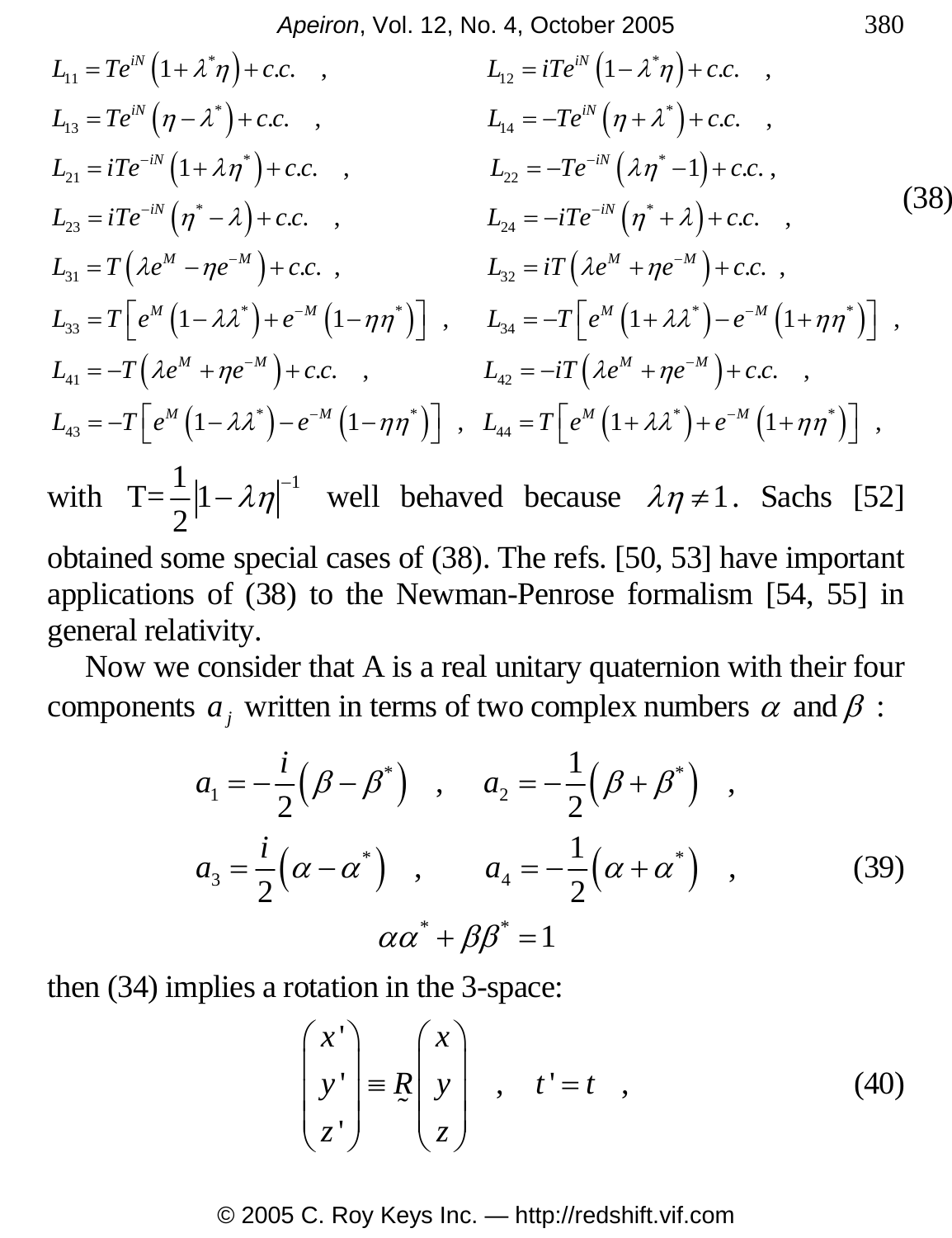*Apeiron*, Vol. 12, No. 4, October 2005 380

$$
L_{11} = Te^{iN} (1 + \lambda^* \eta) + c.c. ,
$$
\n
$$
L_{12} = iTe^{iN} (1 - \lambda^* \eta) + c.c. ,
$$
\n
$$
L_{13} = Te^{iN} (\eta - \lambda^*) + c.c. ,
$$
\n
$$
L_{14} = -Te^{iN} (\eta + \lambda^*) + c.c. ,
$$
\n
$$
L_{21} = iTe^{-iN} (1 + \lambda \eta^*) + c.c. ,
$$
\n
$$
L_{22} = -Te^{-iN} (\lambda \eta^*) + c.c. ,
$$
\n
$$
L_{23} = iTe^{-iN} (\eta^* - \lambda) + c.c. ,
$$
\n
$$
L_{34} = -iTe^{-iN} (\eta^* + \lambda) + c.c. ,
$$
\n
$$
L_{31} = T(\lambda e^M - \eta e^{-M}) + c.c. ,
$$
\n
$$
L_{32} = iT(\lambda e^M + \eta e^{-M}) + c.c. ,
$$
\n
$$
L_{33} = T\Big[e^M (1 - \lambda \lambda^*) + e^{-M} (1 - \eta \eta^*)\Big] ,
$$
\n
$$
L_{34} = -T\Big[e^M (1 + \lambda \lambda^*) - e^{-M} (1 + \eta \eta^*)\Big] ,
$$
\n
$$
L_{41} = -T(\lambda e^M + \eta e^{-M}) + c.c. ,
$$
\n
$$
L_{42} = -iT(\lambda e^M + \eta e^{-M}) + c.c. ,
$$
\n
$$
L_{43} = -T\Big[e^M (1 - \lambda \lambda^*) - e^{-M} (1 - \eta \eta^*)\Big] ,
$$
\n
$$
L_{44} = T\Big[e^M (1 + \lambda \lambda^*) + e^{-M} (1 + \eta \eta^*)\Big] ,
$$
\n(14)

with  $T = \frac{1}{2} |1 - \lambda \eta|^{-1}$ 2  $-\lambda \eta$ <sup>-1</sup> well behaved because  $\lambda \eta \neq 1$ . Sachs [52] obtained some special cases of (38). The refs. [50, 53] have important applications of (38) to the Newman-Penrose formalism [54, 55] in general relativity.

Now we consider that A is a real unitary quaternion with their four components  $a_j$  written in terms of two complex numbers  $\alpha$  and  $\beta$ :

$$
a_1 = -\frac{i}{2} (\beta - \beta^*) , a_2 = -\frac{1}{2} (\beta + \beta^*) ,
$$
  
\n
$$
a_3 = \frac{i}{2} (\alpha - \alpha^*) , a_4 = -\frac{1}{2} (\alpha + \alpha^*) ,
$$
  
\n
$$
\alpha \alpha^* + \beta \beta^* = 1
$$
\n(39)

then (34) implies a rotation in the 3-space:

$$
\begin{pmatrix} x' \\ y' \\ z' \end{pmatrix} \equiv R \begin{pmatrix} x \\ y \\ z \end{pmatrix} , t' = t , \qquad (40)
$$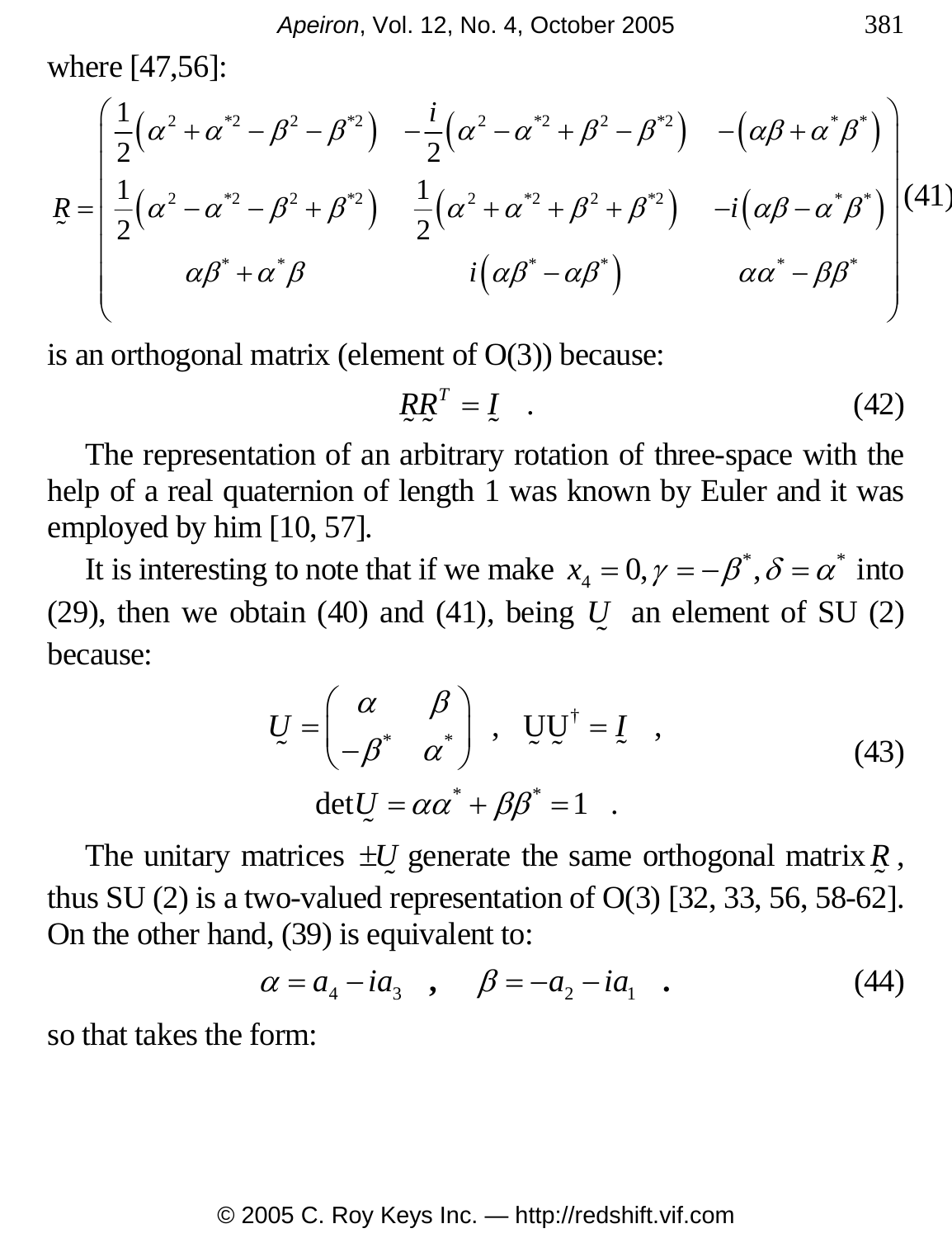where [47,56]:

$$
R = \begin{pmatrix} \frac{1}{2} (\alpha^2 + \alpha^{*2} - \beta^2 - \beta^{*2}) & -\frac{i}{2} (\alpha^2 - \alpha^{*2} + \beta^2 - \beta^{*2}) & -(\alpha\beta + \alpha^*\beta^*) \\ \frac{1}{2} (\alpha^2 - \alpha^{*2} - \beta^2 + \beta^{*2}) & \frac{1}{2} (\alpha^2 + \alpha^{*2} + \beta^2 + \beta^{*2}) & -i(\alpha\beta - \alpha^*\beta^*) \\ \alpha\beta^* + \alpha^*\beta & i(\alpha\beta^* - \alpha\beta^*) & \alpha\alpha^* - \beta\beta^* \end{pmatrix} (41)
$$

is an orthogonal matrix (element of  $O(3)$ ) because:

$$
RR^T = I \t\t(42)
$$

The representation of an arbitrary rotation of three-space with the help of a real quaternion of length 1 was known by Euler and it was employed by him [10, 57].

It is interesting to note that if we make  $x_4 = 0, \gamma = -\beta^*, \delta = \alpha^*$  into (29), then we obtain (40) and (41), being *U*  $\tilde{\phantom{0}}$  an element of SU (2) because:

$$
U = \begin{pmatrix} \alpha & \beta \\ -\beta^* & \alpha^* \end{pmatrix}, \quad UU^{\dagger} = I, \quad (43)
$$

$$
\det U = \alpha \alpha^* + \beta \beta^* = 1.
$$

The unitary matrices  $\pm U$  generate the same orthogonal matrix  $R$ , thus SU (2) is a two-valued representation of O(3) [32, 33, 56, 58-62]. On the other hand, (39) is equivalent to:

$$
\alpha = a_4 - ia_3
$$
,  $\beta = -a_2 - ia_1$ . (44)

so that takes the form: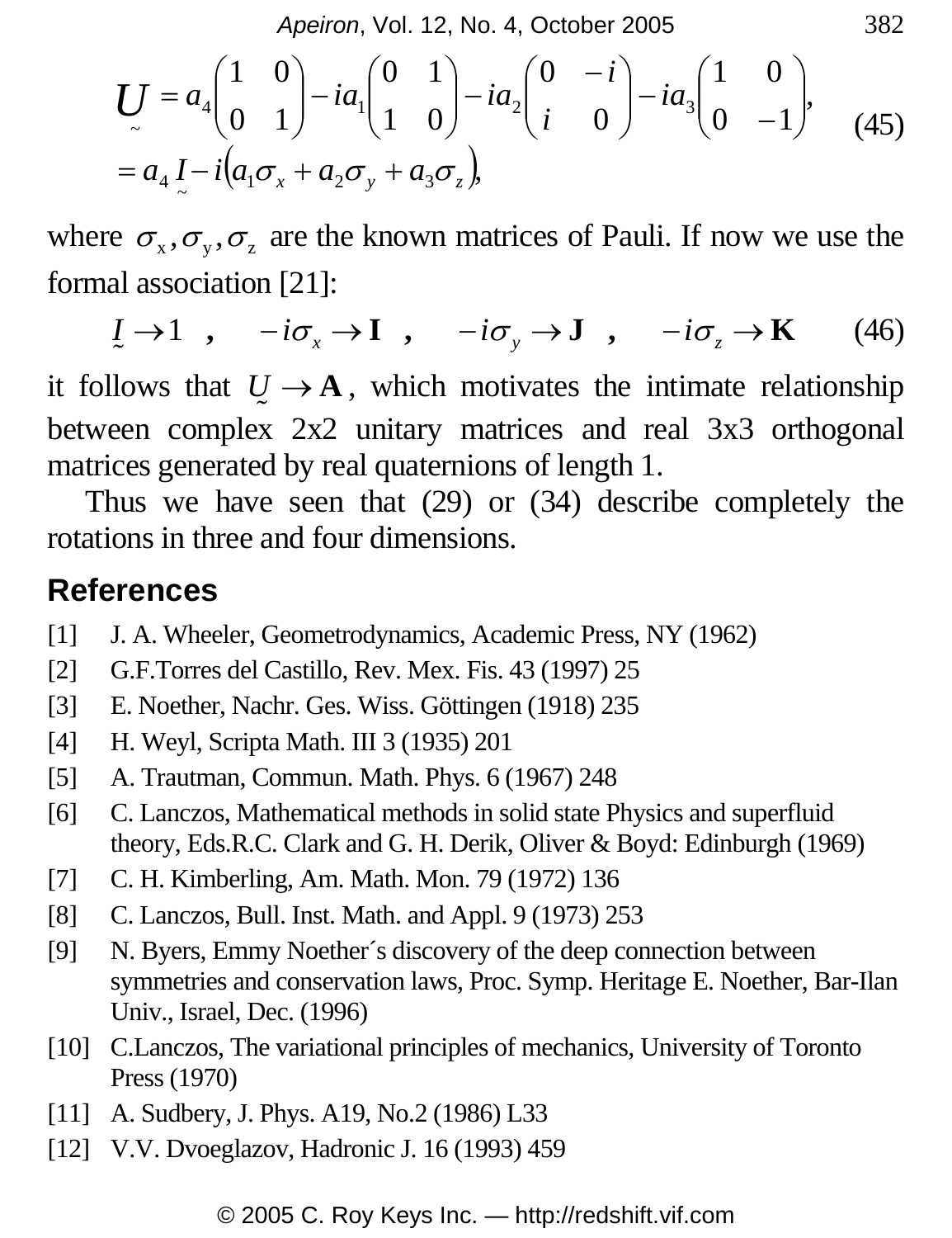*Apeiron*, Vol. 12, No. 4, October 2005 382

$$
U = a_4 \begin{pmatrix} 1 & 0 \\ 0 & 1 \end{pmatrix} - ia_1 \begin{pmatrix} 0 & 1 \\ 1 & 0 \end{pmatrix} - ia_2 \begin{pmatrix} 0 & -i \\ i & 0 \end{pmatrix} - ia_3 \begin{pmatrix} 1 & 0 \\ 0 & -1 \end{pmatrix},
$$
  
=  $a_4 I - i (a_1 \sigma_x + a_2 \sigma_y + a_3 \sigma_z),$  (45)

where  $\sigma_x, \sigma_y, \sigma_z$  are the known matrices of Pauli. If now we use the formal association [21]:

$$
\underline{I} \to 1 \quad , \quad -i\sigma_x \to \mathbf{I} \quad , \quad -i\sigma_y \to \mathbf{J} \quad , \quad -i\sigma_z \to \mathbf{K} \tag{46}
$$

it follows that  $U \rightarrow A$ , which motivates the intimate relationship between complex 2x2 unitary matrices and real 3x3 orthogonal matrices generated by real quaternions of length 1.

Thus we have seen that (29) or (34) describe completely the rotations in three and four dimensions.

#### **References**

- [1] J. A. Wheeler, Geometrodynamics, Academic Press, NY (1962)
- [2] G.F.Torres del Castillo, Rev. Mex. Fis. 43 (1997) 25
- [3] E. Noether, Nachr. Ges. Wiss. Göttingen (1918) 235
- [4] H. Weyl, Scripta Math. III 3 (1935) 201
- [5] A. Trautman, Commun. Math. Phys. 6 (1967) 248
- [6] C. Lanczos, Mathematical methods in solid state Physics and superfluid theory, Eds.R.C. Clark and G. H. Derik, Oliver & Boyd: Edinburgh (1969)
- [7] C. H. Kimberling, Am. Math. Mon. 79 (1972) 136
- [8] C. Lanczos, Bull. Inst. Math. and Appl. 9 (1973) 253
- [9] N. Byers, Emmy Noether´s discovery of the deep connection between symmetries and conservation laws, Proc. Symp. Heritage E. Noether, Bar-Ilan Univ., Israel, Dec. (1996)
- [10] C.Lanczos, The variational principles of mechanics, University of Toronto Press (1970)
- [11] A. Sudbery, J. Phys. A19, No.2 (1986) L33
- [12] V.V. Dvoeglazov, Hadronic J. 16 (1993) 459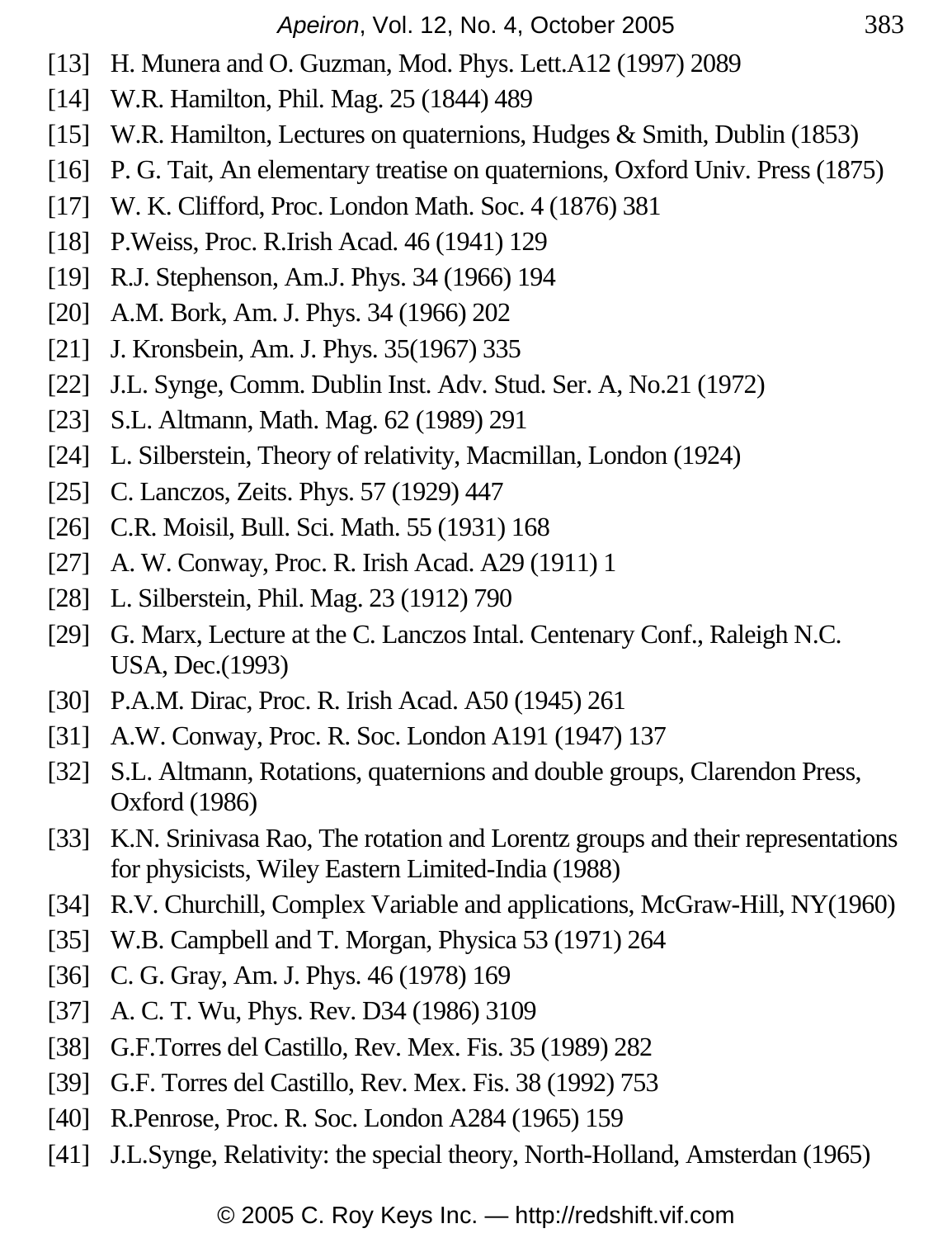- [13] H. Munera and O. Guzman, Mod. Phys. Lett.A12 (1997) 2089
- [14] W.R. Hamilton, Phil. Mag. 25 (1844) 489
- [15] W.R. Hamilton, Lectures on quaternions, Hudges & Smith, Dublin (1853)
- [16] P. G. Tait, An elementary treatise on quaternions, Oxford Univ. Press (1875)
- [17] W. K. Clifford, Proc. London Math. Soc. 4 (1876) 381
- [18] P. Weiss, Proc. R. Irish Acad. 46 (1941) 129
- [19] R.J. Stephenson, Am.J. Phys. 34 (1966) 194
- [20] A.M. Bork, Am. J. Phys. 34 (1966) 202
- [21] J. Kronsbein, Am. J. Phys. 35(1967) 335
- [22] J.L. Synge, Comm. Dublin Inst. Adv. Stud. Ser. A, No.21 (1972)
- [23] S.L. Altmann, Math. Mag. 62 (1989) 291
- [24] L. Silberstein, Theory of relativity, Macmillan, London (1924)
- [25] C. Lanczos, Zeits. Phys. 57 (1929) 447
- [26] C.R. Moisil, Bull. Sci. Math. 55 (1931) 168
- [27] A. W. Conway, Proc. R. Irish Acad. A29 (1911) 1
- [28] L. Silberstein, Phil. Mag. 23 (1912) 790
- [29] G. Marx, Lecture at the C. Lanczos Intal. Centenary Conf., Raleigh N.C. USA, Dec.(1993)
- [30] P.A.M. Dirac, Proc. R. Irish Acad. A50 (1945) 261
- [31] A.W. Conway, Proc. R. Soc. London A191 (1947) 137
- [32] S.L. Altmann, Rotations, quaternions and double groups, Clarendon Press, Oxford (1986)
- [33] K.N. Srinivasa Rao, The rotation and Lorentz groups and their representations for physicists, Wiley Eastern Limited-India (1988)
- [34] R.V. Churchill, Complex Variable and applications, McGraw-Hill, NY(1960)
- [35] W.B. Campbell and T. Morgan, Physica 53 (1971) 264
- [36] C. G. Gray, Am. J. Phys. 46 (1978) 169
- [37] A. C. T. Wu, Phys. Rev. D34 (1986) 3109
- [38] G.F.Torres del Castillo, Rev. Mex. Fis. 35 (1989) 282
- [39] G.F. Torres del Castillo, Rev. Mex. Fis. 38 (1992) 753
- [40] R.Penrose, Proc. R. Soc. London A284 (1965) 159
- [41] J.L.Synge, Relativity: the special theory, North-Holland, Amsterdan (1965)